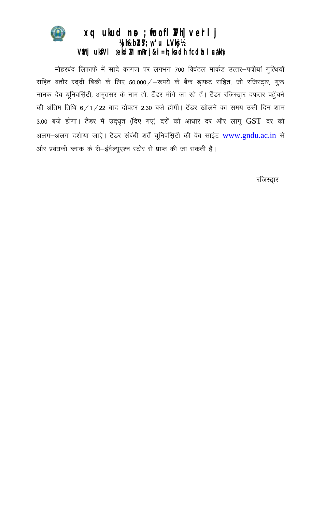

## $xq$  ukud no ; fuofl  $M$ h] verlj Wjh&bbSY; w 'u LVkgi 1/2 VMj ukfVl (ekdM mRrj&i = h; kndh fcdh I ca/kh)

मोहरबंद लिफाफे में सादे कागज पर लगभग 700 क्विंटल मार्कड उत्तर-पत्रीयां गुत्थियों सहित बतौर रद्दी बिक्री के लिए 50,000 / – रूपये के बैंक ड्राफट सहित, जो रजिस्ट्रार, गुरू नानक देव यूनिवर्सिटी, अमृतसर के नाम हो, टैंडर माँगे जा रहे हैं। टैंडर रजिस्ट्रार दफतर पहुँचने की अंतिम तिथि 6/1/22 बाद दोपहर 2.30 बजे होगी। टैंडर खोलने का समय उसी दिन शाम 3.00 बजे होगा। टैंडर में उद्धृत (दिए गए) दरों को आधार दर और लागू GST दर को अलग-अलग दर्शाया जाऐ। टैंडर संबंधी शर्तें यूनिवर्सिटी की वैब साईट www.gndu.ac.in से और प्रबंधकी ब्लाक के री-ईवैल्यूएश्न स्टोर से प्राप्त की जा सकती हैं।

रजिस्ट्रार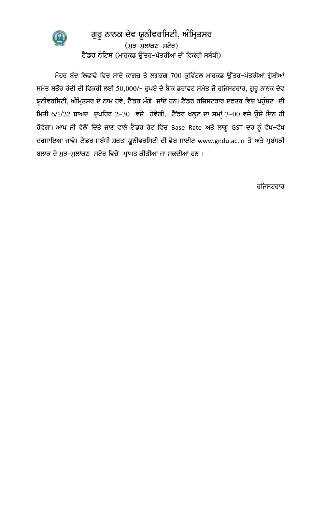

## ਗੁਰੂ ਨਾਨਕ ਦੇਵ ਯੂਨੀਵਰਸਿਟੀ, ਅੰਮ੍ਰਿਤਸਰ (ਮੁੜ-ਮੁਲਾਂਕਣ ਸਟੋਰ) ਟੈਂਡਰ ਨੋਟਿਸ (ਮਾਰਕਡ ਉੱਤਰ-ਪੱਤਰੀਆਂ ਦੀ ਵਿਕਰੀ ਸਬੰਧੀ)

ਮੋਹਰ ਬੰਦ ਲਿਫਾਫੇ ਵਿਚ ਸਾਦੇ ਕਾਗਜ਼ ਤੇ ਲਗਭਗ 700 ਕੁਵਿੰਟਲ ਮਾਰਕਡ ਉੱਤਰ-ਪੱਤਰੀਆਂ ਗੁੱਥੀਆਂ ਸਮੇਤ ਬਤੌਰ ਰੱਦੀ ਦੀ ਵਿਕਰੀ ਲਈ 50,000/- ਰੁਪਏ ਦੇ ਬੈਂਕ ਡਰਾਫਟ ਸਮੇਤ ਜੋ ਰਜਿਸਟਰਾਰ, ਗੁਰੂ ਨਾਨਕ ਦੇਵ ਯੂਨੀਵਰਸਿਟੀ, ਅੰਮ੍ਰਿਤਸਰ ਦੇ ਨਾਮ ਹੋਵੇ, ਟੈਂਡਰ ਮੰਗੇ ਜਾਂਦੇ ਹਨ। ਟੈਂਡਰ ਰਜਿਸਟਰਾਰ ਦਫਤਰ ਵਿਚ ਪਹੁੰਚਣ ਦੀ ਸਿਤੀ 6/1/22 ਬਾਅਦ ਦੁਪਹਿਰ 2-30 ਵਜੇ ਹੋਵੇਗੀ, ਟੈਂਡਰ ਖੋਲ੍ਹਣ ਦਾ ਸਮਾਂ 3-00 ਵਜੇ ਉਸੇ ਦਿਨ ਹੀ ਹੋਵੇਗਾ। ਆਪ ਜੀ ਵੱਲੋਂ ਦਿੱਤੇ ਜਾਣ ਵਾਲੇ ਟੈਂਡਰ ਰੇਟ ਵਿਚ Base Rate ਅਤੇ ਲਾਗੂ GST ਦਰ ਨੂੰ ਵੱਖ-ਵੱਖ ਦਰਸਾਇਆ ਜਾਵੇ। ਟੈਂਡਰ ਸਬੰਧੀ ਸ਼ਰਤਾ ਯੂਨੀਵਰਸਿਟੀ ਦੀ ਵੈਬ ਸਾਈਟ [www.gndu.ac.in](http://www.gndu.ac.in/) ਤੋਂ ਅਤੇ ਪ੍ਰਬੰਧਕੀ ਬਲਾਕ ਦੇ ਮੁੜ-ਮੁਲਾਂਕਣ ਸਟੋਰ ਵਿਚੋਂ ਪ੍ਰਾਪਤ ਕੀਤੀਆਂ ਜਾ ਸਕਦੀਆਂ ਹਨ।

ਰਜਿਸਟਰਾਰ